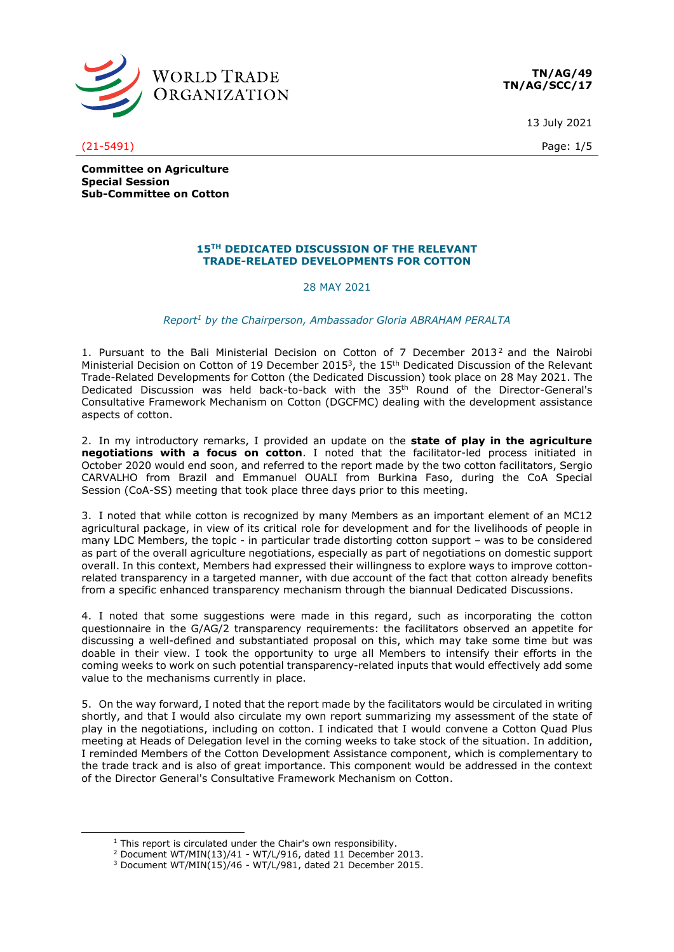

**TN/AG/49 TN/AG/SCC/17**

13 July 2021

(21-5491) Page: 1/5

**Committee on Agriculture Special Session Sub-Committee on Cotton**

## **15TH DEDICATED DISCUSSION OF THE RELEVANT TRADE-RELATED DEVELOPMENTS FOR COTTON**

## 28 MAY 2021

## *Report<sup>1</sup> by the Chairperson, Ambassador Gloria ABRAHAM PERALTA*

1. Pursuant to the Bali Ministerial Decision on Cotton of 7 December 2013<sup>2</sup> and the Nairobi Ministerial Decision on Cotton of 19 December 2015<sup>3</sup>, the 15<sup>th</sup> Dedicated Discussion of the Relevant Trade-Related Developments for Cotton (the Dedicated Discussion) took place on 28 May 2021. The Dedicated Discussion was held back-to-back with the 35<sup>th</sup> Round of the Director-General's Consultative Framework Mechanism on Cotton (DGCFMC) dealing with the development assistance aspects of cotton.

2. In my introductory remarks, I provided an update on the **state of play in the agriculture negotiations with a focus on cotton**. I noted that the facilitator-led process initiated in October 2020 would end soon, and referred to the report made by the two cotton facilitators, Sergio CARVALHO from Brazil and Emmanuel OUALI from Burkina Faso, during the CoA Special Session (CoA-SS) meeting that took place three days prior to this meeting.

3. I noted that while cotton is recognized by many Members as an important element of an MC12 agricultural package, in view of its critical role for development and for the livelihoods of people in many LDC Members, the topic - in particular trade distorting cotton support – was to be considered as part of the overall agriculture negotiations, especially as part of negotiations on domestic support overall. In this context, Members had expressed their willingness to explore ways to improve cottonrelated transparency in a targeted manner, with due account of the fact that cotton already benefits from a specific enhanced transparency mechanism through the biannual Dedicated Discussions.

4. I noted that some suggestions were made in this regard, such as incorporating the cotton questionnaire in the G/AG/2 transparency requirements: the facilitators observed an appetite for discussing a well-defined and substantiated proposal on this, which may take some time but was doable in their view. I took the opportunity to urge all Members to intensify their efforts in the coming weeks to work on such potential transparency-related inputs that would effectively add some value to the mechanisms currently in place.

5. On the way forward, I noted that the report made by the facilitators would be circulated in writing shortly, and that I would also circulate my own report summarizing my assessment of the state of play in the negotiations, including on cotton. I indicated that I would convene a Cotton Quad Plus meeting at Heads of Delegation level in the coming weeks to take stock of the situation. In addition, I reminded Members of the Cotton Development Assistance component, which is complementary to the trade track and is also of great importance. This component would be addressed in the context of the Director General's Consultative Framework Mechanism on Cotton.

 $1$  This report is circulated under the Chair's own responsibility.

<sup>2</sup> Document WT/MIN(13)/41 - WT/L/916, dated 11 December 2013.

 $3$  Document WT/MIN(15)/46 - WT/L/981, dated 21 December 2015.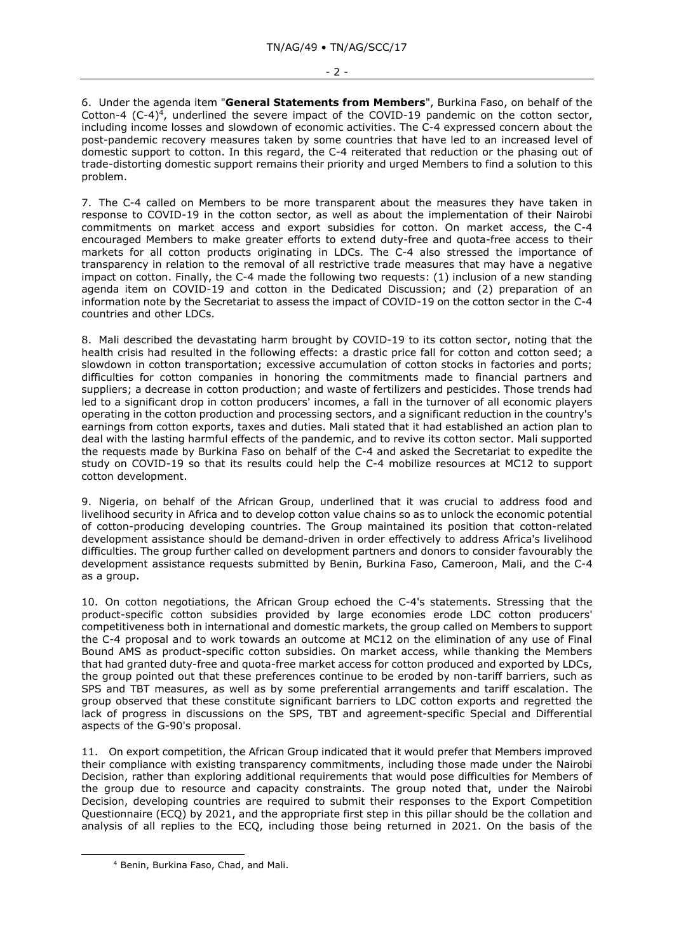6. Under the agenda item "**General Statements from Members**", Burkina Faso, on behalf of the Cotton-4 (C-4)<sup>4</sup>, underlined the severe impact of the COVID-19 pandemic on the cotton sector, including income losses and slowdown of economic activities. The C-4 expressed concern about the post-pandemic recovery measures taken by some countries that have led to an increased level of domestic support to cotton. In this regard, the C-4 reiterated that reduction or the phasing out of trade-distorting domestic support remains their priority and urged Members to find a solution to this problem.

7. The C-4 called on Members to be more transparent about the measures they have taken in response to COVID-19 in the cotton sector, as well as about the implementation of their Nairobi commitments on market access and export subsidies for cotton. On market access, the C-4 encouraged Members to make greater efforts to extend duty-free and quota-free access to their markets for all cotton products originating in LDCs. The C-4 also stressed the importance of transparency in relation to the removal of all restrictive trade measures that may have a negative impact on cotton. Finally, the C-4 made the following two requests: (1) inclusion of a new standing agenda item on COVID-19 and cotton in the Dedicated Discussion; and (2) preparation of an information note by the Secretariat to assess the impact of COVID-19 on the cotton sector in the C-4 countries and other LDCs.

8. Mali described the devastating harm brought by COVID-19 to its cotton sector, noting that the health crisis had resulted in the following effects: a drastic price fall for cotton and cotton seed; a slowdown in cotton transportation; excessive accumulation of cotton stocks in factories and ports; difficulties for cotton companies in honoring the commitments made to financial partners and suppliers; a decrease in cotton production; and waste of fertilizers and pesticides. Those trends had led to a significant drop in cotton producers' incomes, a fall in the turnover of all economic players operating in the cotton production and processing sectors, and a significant reduction in the country's earnings from cotton exports, taxes and duties. Mali stated that it had established an action plan to deal with the lasting harmful effects of the pandemic, and to revive its cotton sector. Mali supported the requests made by Burkina Faso on behalf of the C-4 and asked the Secretariat to expedite the study on COVID-19 so that its results could help the C-4 mobilize resources at MC12 to support cotton development.

9. Nigeria, on behalf of the African Group, underlined that it was crucial to address food and livelihood security in Africa and to develop cotton value chains so as to unlock the economic potential of cotton-producing developing countries. The Group maintained its position that cotton-related development assistance should be demand-driven in order effectively to address Africa's livelihood difficulties. The group further called on development partners and donors to consider favourably the development assistance requests submitted by Benin, Burkina Faso, Cameroon, Mali, and the C-4 as a group.

10. On cotton negotiations, the African Group echoed the C-4's statements. Stressing that the product-specific cotton subsidies provided by large economies erode LDC cotton producers' competitiveness both in international and domestic markets, the group called on Members to support the C-4 proposal and to work towards an outcome at MC12 on the elimination of any use of Final Bound AMS as product-specific cotton subsidies. On market access, while thanking the Members that had granted duty-free and quota-free market access for cotton produced and exported by LDCs, the group pointed out that these preferences continue to be eroded by non-tariff barriers, such as SPS and TBT measures, as well as by some preferential arrangements and tariff escalation. The group observed that these constitute significant barriers to LDC cotton exports and regretted the lack of progress in discussions on the SPS, TBT and agreement-specific Special and Differential aspects of the G-90's proposal.

11. On export competition, the African Group indicated that it would prefer that Members improved their compliance with existing transparency commitments, including those made under the Nairobi Decision, rather than exploring additional requirements that would pose difficulties for Members of the group due to resource and capacity constraints. The group noted that, under the Nairobi Decision, developing countries are required to submit their responses to the Export Competition Questionnaire (ECQ) by 2021, and the appropriate first step in this pillar should be the collation and analysis of all replies to the ECQ, including those being returned in 2021. On the basis of the

<sup>4</sup> Benin, Burkina Faso, Chad, and Mali.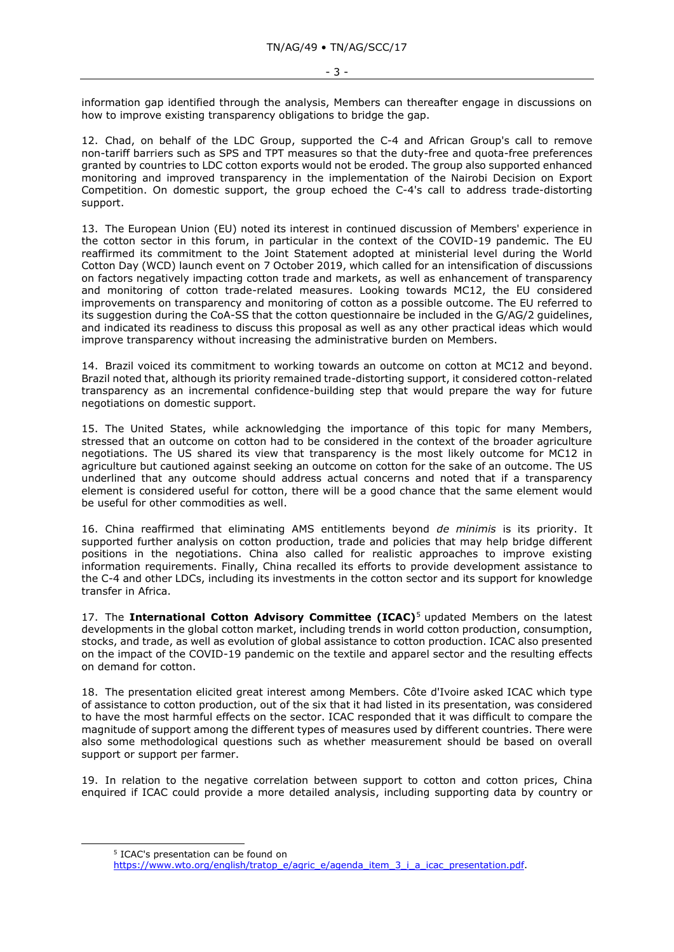information gap identified through the analysis, Members can thereafter engage in discussions on how to improve existing transparency obligations to bridge the gap.

12. Chad, on behalf of the LDC Group, supported the C-4 and African Group's call to remove non-tariff barriers such as SPS and TPT measures so that the duty-free and quota-free preferences granted by countries to LDC cotton exports would not be eroded. The group also supported enhanced monitoring and improved transparency in the implementation of the Nairobi Decision on Export Competition. On domestic support, the group echoed the C-4's call to address trade-distorting support.

13. The European Union (EU) noted its interest in continued discussion of Members' experience in the cotton sector in this forum, in particular in the context of the COVID-19 pandemic. The EU reaffirmed its commitment to the Joint Statement adopted at ministerial level during the World Cotton Day (WCD) launch event on 7 October 2019, which called for an intensification of discussions on factors negatively impacting cotton trade and markets, as well as enhancement of transparency and monitoring of cotton trade-related measures. Looking towards MC12, the EU considered improvements on transparency and monitoring of cotton as a possible outcome. The EU referred to its suggestion during the CoA-SS that the cotton questionnaire be included in the G/AG/2 guidelines, and indicated its readiness to discuss this proposal as well as any other practical ideas which would improve transparency without increasing the administrative burden on Members.

14. Brazil voiced its commitment to working towards an outcome on cotton at MC12 and beyond. Brazil noted that, although its priority remained trade-distorting support, it considered cotton-related transparency as an incremental confidence-building step that would prepare the way for future negotiations on domestic support.

15. The United States, while acknowledging the importance of this topic for many Members, stressed that an outcome on cotton had to be considered in the context of the broader agriculture negotiations. The US shared its view that transparency is the most likely outcome for MC12 in agriculture but cautioned against seeking an outcome on cotton for the sake of an outcome. The US underlined that any outcome should address actual concerns and noted that if a transparency element is considered useful for cotton, there will be a good chance that the same element would be useful for other commodities as well.

16. China reaffirmed that eliminating AMS entitlements beyond *de minimis* is its priority. It supported further analysis on cotton production, trade and policies that may help bridge different positions in the negotiations. China also called for realistic approaches to improve existing information requirements. Finally, China recalled its efforts to provide development assistance to the C-4 and other LDCs, including its investments in the cotton sector and its support for knowledge transfer in Africa.

17. The **International Cotton Advisory Committee (ICAC)**<sup>5</sup> updated Members on the latest developments in the global cotton market, including trends in world cotton production, consumption, stocks, and trade, as well as evolution of global assistance to cotton production. ICAC also presented on the impact of the COVID-19 pandemic on the textile and apparel sector and the resulting effects on demand for cotton.

18. The presentation elicited great interest among Members. Côte d'Ivoire asked ICAC which type of assistance to cotton production, out of the six that it had listed in its presentation, was considered to have the most harmful effects on the sector. ICAC responded that it was difficult to compare the magnitude of support among the different types of measures used by different countries. There were also some methodological questions such as whether measurement should be based on overall support or support per farmer.

19. In relation to the negative correlation between support to cotton and cotton prices, China enquired if ICAC could provide a more detailed analysis, including supporting data by country or

<sup>5</sup> ICAC's presentation can be found on

[https://www.wto.org/english/tratop\\_e/agric\\_e/agenda\\_item\\_3\\_i\\_a\\_icac\\_presentation.pdf.](https://www.wto.org/english/tratop_e/agric_e/agenda_item_3_i_a_icac_presentation.pdf)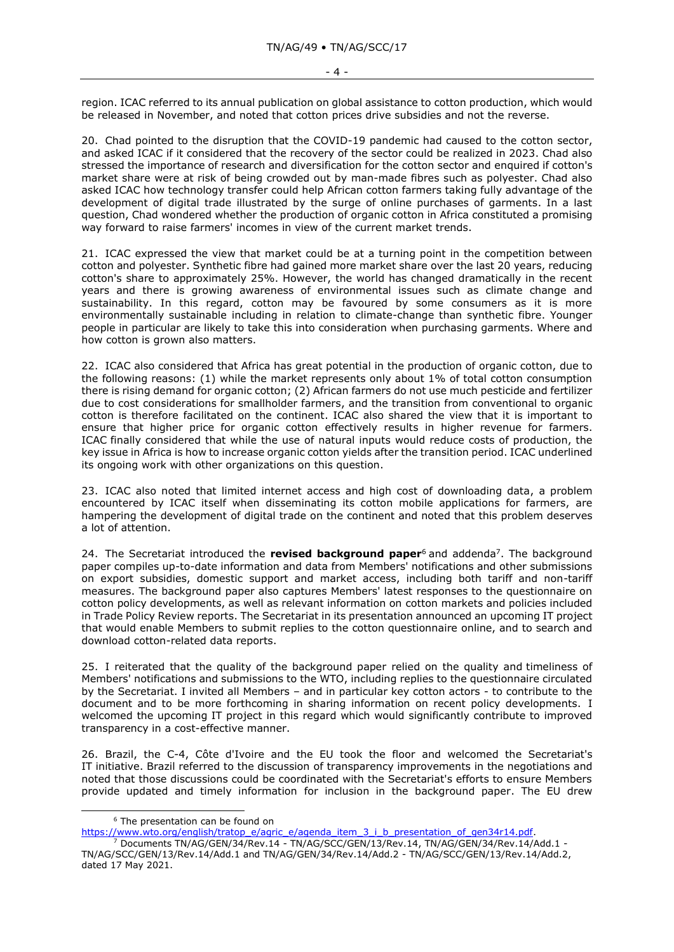region. ICAC referred to its annual publication on global assistance to cotton production, which would be released in November, and noted that cotton prices drive subsidies and not the reverse.

20. Chad pointed to the disruption that the COVID-19 pandemic had caused to the cotton sector, and asked ICAC if it considered that the recovery of the sector could be realized in 2023. Chad also stressed the importance of research and diversification for the cotton sector and enquired if cotton's market share were at risk of being crowded out by man-made fibres such as polyester. Chad also asked ICAC how technology transfer could help African cotton farmers taking fully advantage of the development of digital trade illustrated by the surge of online purchases of garments. In a last question, Chad wondered whether the production of organic cotton in Africa constituted a promising way forward to raise farmers' incomes in view of the current market trends.

21. ICAC expressed the view that market could be at a turning point in the competition between cotton and polyester. Synthetic fibre had gained more market share over the last 20 years, reducing cotton's share to approximately 25%. However, the world has changed dramatically in the recent years and there is growing awareness of environmental issues such as climate change and sustainability. In this regard, cotton may be favoured by some consumers as it is more environmentally sustainable including in relation to climate-change than synthetic fibre. Younger people in particular are likely to take this into consideration when purchasing garments. Where and how cotton is grown also matters.

22. ICAC also considered that Africa has great potential in the production of organic cotton, due to the following reasons: (1) while the market represents only about 1% of total cotton consumption there is rising demand for organic cotton; (2) African farmers do not use much pesticide and fertilizer due to cost considerations for smallholder farmers, and the transition from conventional to organic cotton is therefore facilitated on the continent. ICAC also shared the view that it is important to ensure that higher price for organic cotton effectively results in higher revenue for farmers. ICAC finally considered that while the use of natural inputs would reduce costs of production, the key issue in Africa is how to increase organic cotton yields after the transition period. ICAC underlined its ongoing work with other organizations on this question.

23. ICAC also noted that limited internet access and high cost of downloading data, a problem encountered by ICAC itself when disseminating its cotton mobile applications for farmers, are hampering the development of digital trade on the continent and noted that this problem deserves a lot of attention.

24. The Secretariat introduced the **revised background paper**<sup>6</sup> and addenda<sup>7</sup> . The background paper compiles up-to-date information and data from Members' notifications and other submissions on export subsidies, domestic support and market access, including both tariff and non-tariff measures. The background paper also captures Members' latest responses to the questionnaire on cotton policy developments, as well as relevant information on cotton markets and policies included in Trade Policy Review reports. The Secretariat in its presentation announced an upcoming IT project that would enable Members to submit replies to the cotton questionnaire online, and to search and download cotton-related data reports.

25. I reiterated that the quality of the background paper relied on the quality and timeliness of Members' notifications and submissions to the WTO, including replies to the questionnaire circulated by the Secretariat. I invited all Members – and in particular key cotton actors - to contribute to the document and to be more forthcoming in sharing information on recent policy developments. I welcomed the upcoming IT project in this regard which would significantly contribute to improved transparency in a cost-effective manner.

26. Brazil, the C-4, Côte d'Ivoire and the EU took the floor and welcomed the Secretariat's IT initiative. Brazil referred to the discussion of transparency improvements in the negotiations and noted that those discussions could be coordinated with the Secretariat's efforts to ensure Members provide updated and timely information for inclusion in the background paper. The EU drew

<sup>6</sup> The presentation can be found on

[https://www.wto.org/english/tratop\\_e/agric\\_e/agenda\\_item\\_3\\_i\\_b\\_presentation\\_of\\_gen34r14.pdf.](https://www.wto.org/english/tratop_e/agric_e/agenda_item_3_i_b_presentation_of_gen34r14.pdf)

<sup>7</sup> Documents TN/AG/GEN/34/Rev.14 - TN/AG/SCC/GEN/13/Rev.14, TN/AG/GEN/34/Rev.14/Add.1 - TN/AG/SCC/GEN/13/Rev.14/Add.1 and TN/AG/GEN/34/Rev.14/Add.2 - TN/AG/SCC/GEN/13/Rev.14/Add.2, dated 17 May 2021.